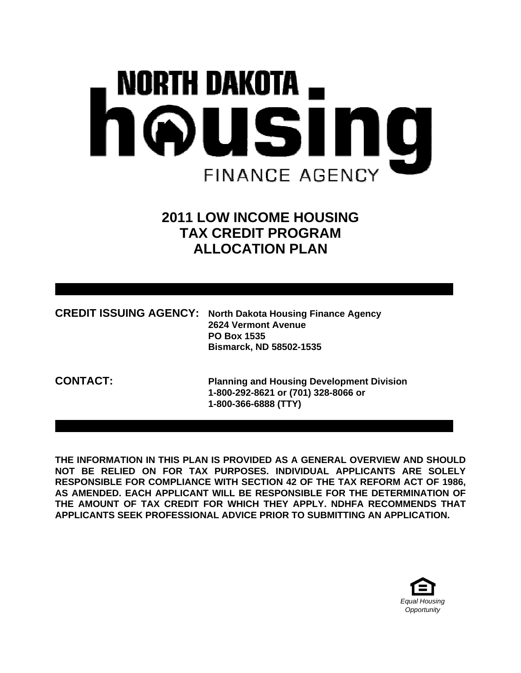# **NORTH DAKOTA** housing **FINANCE AGENCY**

# **2011 LOW INCOME HOUSING TAX CREDIT PROGRAM ALLOCATION PLAN**

| <b>CREDIT ISSUING AGENCY: North Dakota Housing Finance Agency</b> |
|-------------------------------------------------------------------|
| <b>2624 Vermont Avenue</b>                                        |
| <b>PO Box 1535</b>                                                |
| <b>Bismarck, ND 58502-1535</b>                                    |

**CONTACT: Planning and Housing Development Division 1-800-292-8621 or (701) 328-8066 or 1-800-366-6888 (TTY)** 

**THE INFORMATION IN THIS PLAN IS PROVIDED AS A GENERAL OVERVIEW AND SHOULD NOT BE RELIED ON FOR TAX PURPOSES. INDIVIDUAL APPLICANTS ARE SOLELY RESPONSIBLE FOR COMPLIANCE WITH SECTION 42 OF THE TAX REFORM ACT OF 1986, AS AMENDED. EACH APPLICANT WILL BE RESPONSIBLE FOR THE DETERMINATION OF THE AMOUNT OF TAX CREDIT FOR WHICH THEY APPLY. NDHFA RECOMMENDS THAT APPLICANTS SEEK PROFESSIONAL ADVICE PRIOR TO SUBMITTING AN APPLICATION.** 

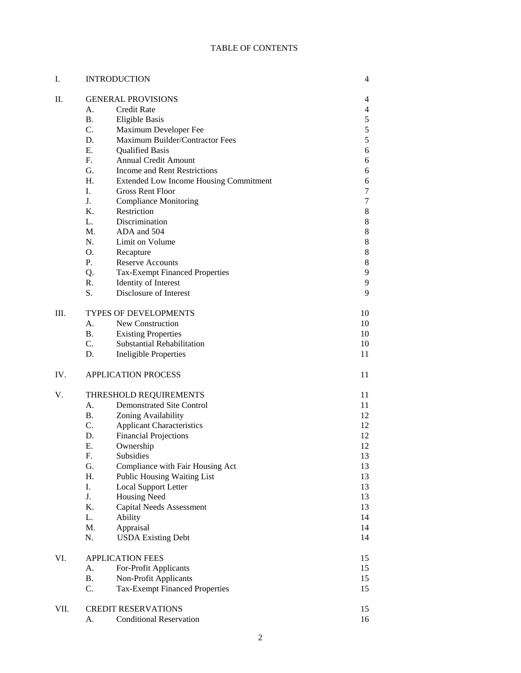#### TABLE OF CONTENTS

| I.   | <b>INTRODUCTION</b>          |                                               | 4              |
|------|------------------------------|-----------------------------------------------|----------------|
| II.  | <b>GENERAL PROVISIONS</b>    |                                               | 4              |
|      | A.                           | <b>Credit Rate</b>                            | $\overline{4}$ |
|      | <b>B.</b>                    | <b>Eligible Basis</b>                         | 5              |
|      | C.                           | Maximum Developer Fee                         | 5              |
|      | D.                           | Maximum Builder/Contractor Fees               | 5              |
|      | E.                           | <b>Qualified Basis</b>                        | 6              |
|      | $F_{\cdot}$                  | <b>Annual Credit Amount</b>                   | 6              |
|      | G.                           | <b>Income and Rent Restrictions</b>           | 6              |
|      | H <sub>1</sub>               | <b>Extended Low Income Housing Commitment</b> | 6              |
|      | L.                           | <b>Gross Rent Floor</b>                       | 7              |
|      | J <sub>r</sub>               | <b>Compliance Monitoring</b>                  | 7              |
|      | $K_{\cdot}$                  | Restriction                                   | 8              |
|      | L.                           | Discrimination                                | 8              |
|      | $M_{\cdot}$                  | ADA and 504                                   | 8              |
|      | $N_{\cdot}$                  | Limit on Volume                               | 8              |
|      | O.                           | Recapture                                     | 8              |
|      | P.                           | <b>Reserve Accounts</b>                       | 8              |
|      | Q.                           | <b>Tax-Exempt Financed Properties</b>         | 9              |
|      | R.                           | Identity of Interest                          | 9              |
|      | S.                           | Disclosure of Interest                        | 9              |
| III. | <b>TYPES OF DEVELOPMENTS</b> |                                               |                |
|      | A.                           | New Construction                              | 10             |
|      | B.                           | <b>Existing Properties</b>                    | 10             |
|      | $C_{\cdot}$                  | Substantial Rehabilitation                    | 10             |
|      | D.                           | <b>Ineligible Properties</b>                  | 11             |
| IV.  |                              | <b>APPLICATION PROCESS</b>                    | 11             |
| V.   |                              | THRESHOLD REQUIREMENTS                        | 11             |
|      | A.                           | <b>Demonstrated Site Control</b>              | 11             |
|      | <b>B.</b>                    | Zoning Availability                           | 12             |
|      | $C_{\cdot}$                  | <b>Applicant Characteristics</b>              | 12             |
|      | D.                           | <b>Financial Projections</b>                  | 12             |
|      | Е.                           | Ownership                                     | 12             |
|      | F.                           | Subsidies                                     | 13             |
|      | G.                           | Compliance with Fair Housing Act              | 13             |
|      | H.                           | Public Housing Waiting List                   | 13             |
|      | I.                           | <b>Local Support Letter</b>                   | 13             |
|      | J.                           | <b>Housing Need</b>                           | 13             |
|      | K.                           | <b>Capital Needs Assessment</b>               | 13             |
|      | L.<br>Ability                |                                               | 14             |
|      | M.                           | Appraisal                                     | 14             |
|      | N.                           | <b>USDA Existing Debt</b>                     | 14             |
| VI.  | <b>APPLICATION FEES</b>      |                                               |                |
|      | А.                           | For-Profit Applicants                         | 15             |
|      | <b>B.</b>                    | Non-Profit Applicants                         | 15             |
|      | C.                           | <b>Tax-Exempt Financed Properties</b>         | 15             |
| VII. |                              | <b>CREDIT RESERVATIONS</b>                    | 15             |
|      | А.                           | <b>Conditional Reservation</b>                | 16             |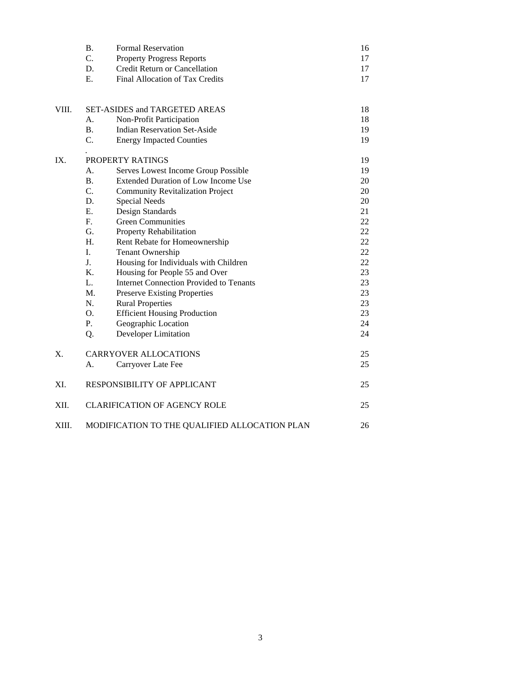|       | <b>B.</b><br>C. | <b>Formal Reservation</b><br><b>Property Progress Reports</b> | 16<br>17 |
|-------|-----------------|---------------------------------------------------------------|----------|
|       | D.              | Credit Return or Cancellation                                 | 17       |
|       | E.              | Final Allocation of Tax Credits                               | 17       |
|       |                 |                                                               |          |
| VIII. |                 | <b>SET-ASIDES and TARGETED AREAS</b>                          | 18       |
|       | А.              | Non-Profit Participation                                      | 18       |
|       | <b>B.</b>       | <b>Indian Reservation Set-Aside</b>                           | 19       |
|       | C.              | <b>Energy Impacted Counties</b>                               | 19       |
| IX.   |                 | PROPERTY RATINGS                                              | 19       |
|       | А.              | Serves Lowest Income Group Possible                           | 19       |
|       | <b>B.</b>       | <b>Extended Duration of Low Income Use</b>                    | 20       |
|       | C.              | <b>Community Revitalization Project</b>                       | 20       |
|       | D.              | <b>Special Needs</b>                                          | 20       |
|       | Е.              | Design Standards                                              | 21       |
|       | F.              | <b>Green Communities</b>                                      | 22       |
|       | G.              | Property Rehabilitation                                       | 22       |
|       | H.              | Rent Rebate for Homeownership                                 | 22       |
|       | I.              | Tenant Ownership                                              | 22       |
|       | J.              | Housing for Individuals with Children                         | 22       |
|       | $K_{\cdot}$     | Housing for People 55 and Over                                | 23       |
|       | L.              | <b>Internet Connection Provided to Tenants</b>                | 23       |
|       | M.              | <b>Preserve Existing Properties</b>                           | 23       |
|       | N.              | <b>Rural Properties</b>                                       | 23       |
|       | O.              | <b>Efficient Housing Production</b>                           | 23       |
|       | Ρ.              | Geographic Location                                           | 24       |
|       | Q.              | <b>Developer Limitation</b>                                   | 24       |
| Χ.    |                 | <b>CARRYOVER ALLOCATIONS</b>                                  | 25       |
|       | А.              | Carryover Late Fee                                            | 25       |
| XI.   |                 | RESPONSIBILITY OF APPLICANT                                   | 25       |
| XII.  |                 | <b>CLARIFICATION OF AGENCY ROLE</b>                           | 25       |
| XIII. |                 | MODIFICATION TO THE QUALIFIED ALLOCATION PLAN                 | 26       |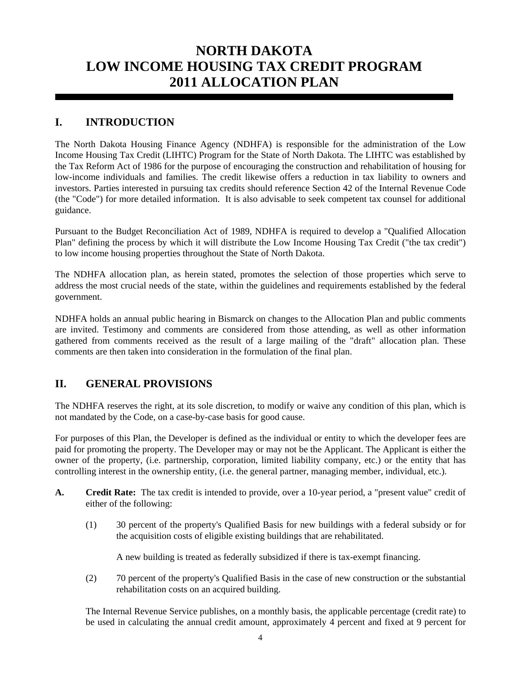# **NORTH DAKOTA LOW INCOME HOUSING TAX CREDIT PROGRAM 2011 ALLOCATION PLAN**

# **I. INTRODUCTION**

The North Dakota Housing Finance Agency (NDHFA) is responsible for the administration of the Low Income Housing Tax Credit (LIHTC) Program for the State of North Dakota. The LIHTC was established by the Tax Reform Act of 1986 for the purpose of encouraging the construction and rehabilitation of housing for low-income individuals and families. The credit likewise offers a reduction in tax liability to owners and investors. Parties interested in pursuing tax credits should reference Section 42 of the Internal Revenue Code (the "Code") for more detailed information. It is also advisable to seek competent tax counsel for additional guidance.

Pursuant to the Budget Reconciliation Act of 1989, NDHFA is required to develop a "Qualified Allocation Plan" defining the process by which it will distribute the Low Income Housing Tax Credit ("the tax credit") to low income housing properties throughout the State of North Dakota.

The NDHFA allocation plan, as herein stated, promotes the selection of those properties which serve to address the most crucial needs of the state, within the guidelines and requirements established by the federal government.

NDHFA holds an annual public hearing in Bismarck on changes to the Allocation Plan and public comments are invited. Testimony and comments are considered from those attending, as well as other information gathered from comments received as the result of a large mailing of the "draft" allocation plan. These comments are then taken into consideration in the formulation of the final plan.

# **II. GENERAL PROVISIONS**

The NDHFA reserves the right, at its sole discretion, to modify or waive any condition of this plan, which is not mandated by the Code, on a case-by-case basis for good cause.

For purposes of this Plan, the Developer is defined as the individual or entity to which the developer fees are paid for promoting the property. The Developer may or may not be the Applicant. The Applicant is either the owner of the property, (i.e. partnership, corporation, limited liability company, etc.) or the entity that has controlling interest in the ownership entity, (i.e. the general partner, managing member, individual, etc.).

- **A. Credit Rate:** The tax credit is intended to provide, over a 10-year period, a "present value" credit of either of the following:
	- (1) 30 percent of the property's Qualified Basis for new buildings with a federal subsidy or for the acquisition costs of eligible existing buildings that are rehabilitated.

A new building is treated as federally subsidized if there is tax-exempt financing.

 (2) 70 percent of the property's Qualified Basis in the case of new construction or the substantial rehabilitation costs on an acquired building.

 The Internal Revenue Service publishes, on a monthly basis, the applicable percentage (credit rate) to be used in calculating the annual credit amount, approximately 4 percent and fixed at 9 percent for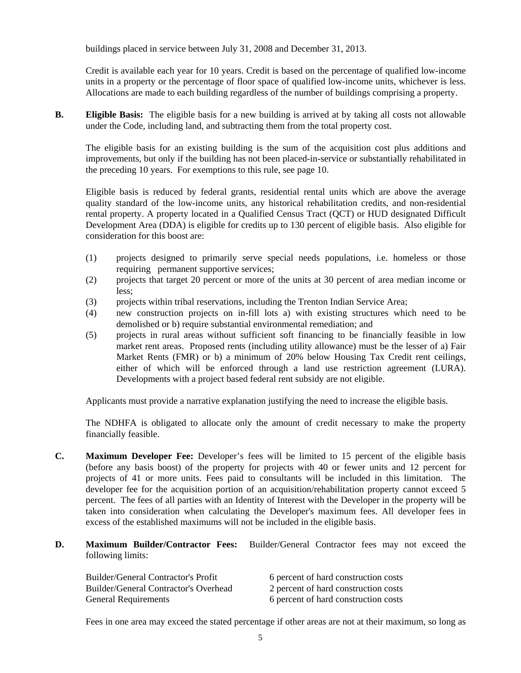buildings placed in service between July 31, 2008 and December 31, 2013.

 Credit is available each year for 10 years. Credit is based on the percentage of qualified low-income units in a property or the percentage of floor space of qualified low-income units, whichever is less. Allocations are made to each building regardless of the number of buildings comprising a property.

**B.** Eligible Basis: The eligible basis for a new building is arrived at by taking all costs not allowable under the Code, including land, and subtracting them from the total property cost.

 The eligible basis for an existing building is the sum of the acquisition cost plus additions and improvements, but only if the building has not been placed-in-service or substantially rehabilitated in the preceding 10 years. For exemptions to this rule, see page 10.

 Eligible basis is reduced by federal grants, residential rental units which are above the average quality standard of the low-income units, any historical rehabilitation credits, and non-residential rental property. A property located in a Qualified Census Tract (QCT) or HUD designated Difficult Development Area (DDA) is eligible for credits up to 130 percent of eligible basis. Also eligible for consideration for this boost are:

- (1) projects designed to primarily serve special needs populations, i.e. homeless or those requiring permanent supportive services;
- (2) projects that target 20 percent or more of the units at 30 percent of area median income or less;
- (3) projects within tribal reservations, including the Trenton Indian Service Area;
- (4) new construction projects on in-fill lots a) with existing structures which need to be demolished or b) require substantial environmental remediation; and
- (5) projects in rural areas without sufficient soft financing to be financially feasible in low market rent areas. Proposed rents (including utility allowance) must be the lesser of a) Fair Market Rents (FMR) or b) a minimum of 20% below Housing Tax Credit rent ceilings, either of which will be enforced through a land use restriction agreement (LURA). Developments with a project based federal rent subsidy are not eligible.

Applicants must provide a narrative explanation justifying the need to increase the eligible basis.

 The NDHFA is obligated to allocate only the amount of credit necessary to make the property financially feasible.

- **C. Maximum Developer Fee:** Developer's fees will be limited to 15 percent of the eligible basis (before any basis boost) of the property for projects with 40 or fewer units and 12 percent for projects of 41 or more units. Fees paid to consultants will be included in this limitation. The developer fee for the acquisition portion of an acquisition/rehabilitation property cannot exceed 5 percent. The fees of all parties with an Identity of Interest with the Developer in the property will be taken into consideration when calculating the Developer's maximum fees. All developer fees in excess of the established maximums will not be included in the eligible basis.
- **D. Maximum Builder/Contractor Fees:** Builder/General Contractor fees may not exceed the following limits:

| <b>Builder/General Contractor's Profit</b> | 6 percent of hard construction costs |
|--------------------------------------------|--------------------------------------|
| Builder/General Contractor's Overhead      | 2 percent of hard construction costs |
| <b>General Requirements</b>                | 6 percent of hard construction costs |

Fees in one area may exceed the stated percentage if other areas are not at their maximum, so long as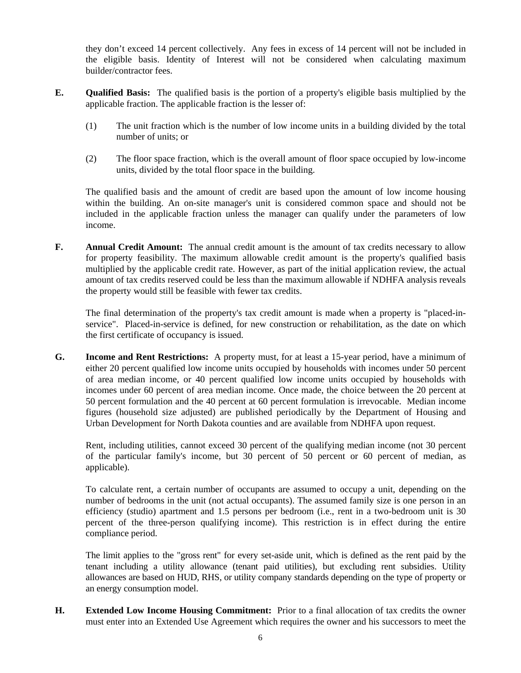they don't exceed 14 percent collectively. Any fees in excess of 14 percent will not be included in the eligible basis. Identity of Interest will not be considered when calculating maximum builder/contractor fees.

- **E. Qualified Basis:** The qualified basis is the portion of a property's eligible basis multiplied by the applicable fraction. The applicable fraction is the lesser of:
	- (1) The unit fraction which is the number of low income units in a building divided by the total number of units; or
	- (2) The floor space fraction, which is the overall amount of floor space occupied by low-income units, divided by the total floor space in the building.

 The qualified basis and the amount of credit are based upon the amount of low income housing within the building. An on-site manager's unit is considered common space and should not be included in the applicable fraction unless the manager can qualify under the parameters of low income.

**F.** Annual Credit Amount: The annual credit amount is the amount of tax credits necessary to allow for property feasibility. The maximum allowable credit amount is the property's qualified basis multiplied by the applicable credit rate. However, as part of the initial application review, the actual amount of tax credits reserved could be less than the maximum allowable if NDHFA analysis reveals the property would still be feasible with fewer tax credits.

 The final determination of the property's tax credit amount is made when a property is "placed-inservice". Placed-in-service is defined, for new construction or rehabilitation, as the date on which the first certificate of occupancy is issued.

**G. Income and Rent Restrictions:** A property must, for at least a 15-year period, have a minimum of either 20 percent qualified low income units occupied by households with incomes under 50 percent of area median income, or 40 percent qualified low income units occupied by households with incomes under 60 percent of area median income. Once made, the choice between the 20 percent at 50 percent formulation and the 40 percent at 60 percent formulation is irrevocable. Median income figures (household size adjusted) are published periodically by the Department of Housing and Urban Development for North Dakota counties and are available from NDHFA upon request.

 Rent, including utilities, cannot exceed 30 percent of the qualifying median income (not 30 percent of the particular family's income, but 30 percent of 50 percent or 60 percent of median, as applicable).

 To calculate rent, a certain number of occupants are assumed to occupy a unit, depending on the number of bedrooms in the unit (not actual occupants). The assumed family size is one person in an efficiency (studio) apartment and 1.5 persons per bedroom (i.e., rent in a two-bedroom unit is 30 percent of the three-person qualifying income). This restriction is in effect during the entire compliance period.

 The limit applies to the "gross rent" for every set-aside unit, which is defined as the rent paid by the tenant including a utility allowance (tenant paid utilities), but excluding rent subsidies. Utility allowances are based on HUD, RHS, or utility company standards depending on the type of property or an energy consumption model.

**H. Extended Low Income Housing Commitment:** Prior to a final allocation of tax credits the owner must enter into an Extended Use Agreement which requires the owner and his successors to meet the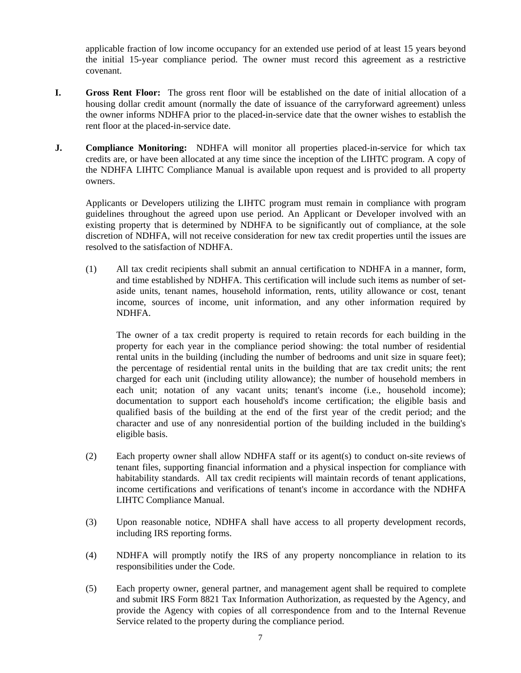applicable fraction of low income occupancy for an extended use period of at least 15 years beyond the initial 15-year compliance period. The owner must record this agreement as a restrictive covenant.

- **I. Gross Rent Floor:** The gross rent floor will be established on the date of initial allocation of a housing dollar credit amount (normally the date of issuance of the carryforward agreement) unless the owner informs NDHFA prior to the placed-in-service date that the owner wishes to establish the rent floor at the placed-in-service date.
- **J.** Compliance Monitoring: NDHFA will monitor all properties placed-in-service for which tax credits are, or have been allocated at any time since the inception of the LIHTC program. A copy of the NDHFA LIHTC Compliance Manual is available upon request and is provided to all property owners.

 Applicants or Developers utilizing the LIHTC program must remain in compliance with program guidelines throughout the agreed upon use period. An Applicant or Developer involved with an existing property that is determined by NDHFA to be significantly out of compliance, at the sole discretion of NDHFA, will not receive consideration for new tax credit properties until the issues are resolved to the satisfaction of NDHFA.

 (1) All tax credit recipients shall submit an annual certification to NDHFA in a manner, form, and time established by NDHFA. This certification will include such items as number of setaside units, tenant names, household information, rents, utility allowance or cost, tenant income, sources of income, unit information, and any other information required by NDHFA.

The owner of a tax credit property is required to retain records for each building in the property for each year in the compliance period showing: the total number of residential rental units in the building (including the number of bedrooms and unit size in square feet); the percentage of residential rental units in the building that are tax credit units; the rent charged for each unit (including utility allowance); the number of household members in each unit; notation of any vacant units; tenant's income (i.e., household income); documentation to support each household's income certification; the eligible basis and qualified basis of the building at the end of the first year of the credit period; and the character and use of any nonresidential portion of the building included in the building's eligible basis.

- (2) Each property owner shall allow NDHFA staff or its agent(s) to conduct on-site reviews of tenant files, supporting financial information and a physical inspection for compliance with habitability standards. All tax credit recipients will maintain records of tenant applications, income certifications and verifications of tenant's income in accordance with the NDHFA LIHTC Compliance Manual.
- (3) Upon reasonable notice, NDHFA shall have access to all property development records, including IRS reporting forms.
- (4) NDHFA will promptly notify the IRS of any property noncompliance in relation to its responsibilities under the Code.
- (5) Each property owner, general partner, and management agent shall be required to complete and submit IRS Form 8821 Tax Information Authorization, as requested by the Agency, and provide the Agency with copies of all correspondence from and to the Internal Revenue Service related to the property during the compliance period.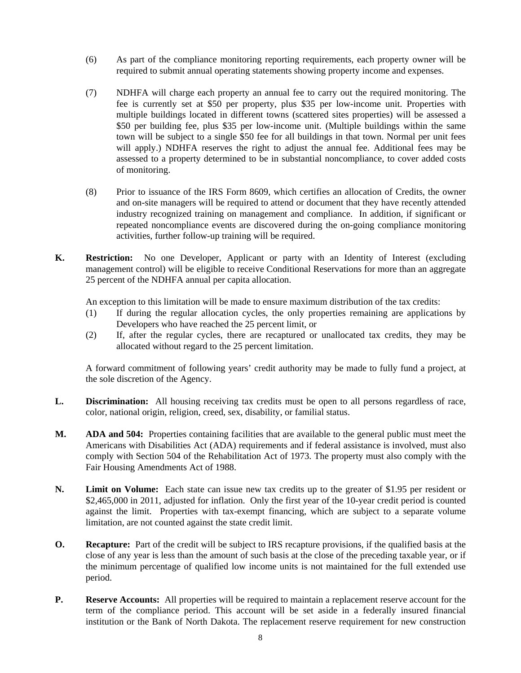- (6) As part of the compliance monitoring reporting requirements, each property owner will be required to submit annual operating statements showing property income and expenses.
- (7) NDHFA will charge each property an annual fee to carry out the required monitoring. The fee is currently set at \$50 per property, plus \$35 per low-income unit. Properties with multiple buildings located in different towns (scattered sites properties) will be assessed a \$50 per building fee, plus \$35 per low-income unit. (Multiple buildings within the same town will be subject to a single \$50 fee for all buildings in that town. Normal per unit fees will apply.) NDHFA reserves the right to adjust the annual fee. Additional fees may be assessed to a property determined to be in substantial noncompliance, to cover added costs of monitoring.
- (8) Prior to issuance of the IRS Form 8609, which certifies an allocation of Credits, the owner and on-site managers will be required to attend or document that they have recently attended industry recognized training on management and compliance. In addition, if significant or repeated noncompliance events are discovered during the on-going compliance monitoring activities, further follow-up training will be required.
- **K. Restriction:** No one Developer, Applicant or party with an Identity of Interest (excluding management control) will be eligible to receive Conditional Reservations for more than an aggregate 25 percent of the NDHFA annual per capita allocation.

An exception to this limitation will be made to ensure maximum distribution of the tax credits:

- (1) If during the regular allocation cycles, the only properties remaining are applications by Developers who have reached the 25 percent limit, or
- (2) If, after the regular cycles, there are recaptured or unallocated tax credits, they may be allocated without regard to the 25 percent limitation.

 A forward commitment of following years' credit authority may be made to fully fund a project, at the sole discretion of the Agency.

- **L. Discrimination:** All housing receiving tax credits must be open to all persons regardless of race, color, national origin, religion, creed, sex, disability, or familial status.
- **M. ADA and 504:** Properties containing facilities that are available to the general public must meet the Americans with Disabilities Act (ADA) requirements and if federal assistance is involved, must also comply with Section 504 of the Rehabilitation Act of 1973. The property must also comply with the Fair Housing Amendments Act of 1988.
- **N. Limit on Volume:** Each state can issue new tax credits up to the greater of \$1.95 per resident or \$2,465,000 in 2011, adjusted for inflation. Only the first year of the 10-year credit period is counted against the limit. Properties with tax-exempt financing, which are subject to a separate volume limitation, are not counted against the state credit limit.
- **O.** Recapture: Part of the credit will be subject to IRS recapture provisions, if the qualified basis at the close of any year is less than the amount of such basis at the close of the preceding taxable year, or if the minimum percentage of qualified low income units is not maintained for the full extended use period.
- **P.** Reserve Accounts: All properties will be required to maintain a replacement reserve account for the term of the compliance period. This account will be set aside in a federally insured financial institution or the Bank of North Dakota. The replacement reserve requirement for new construction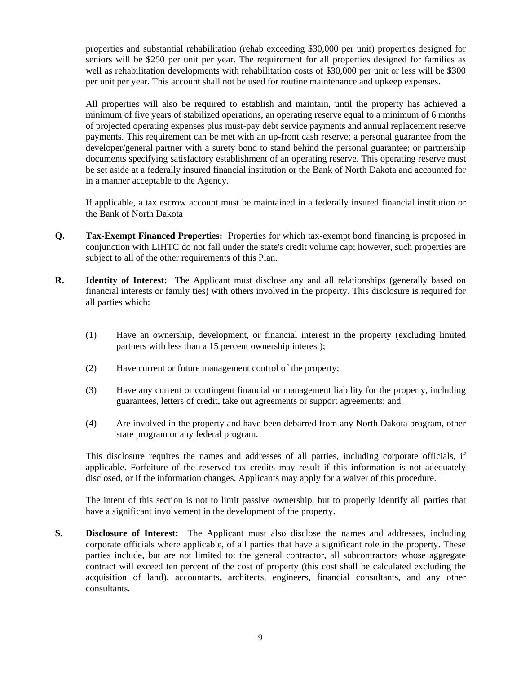properties and substantial rehabilitation (rehab exceeding \$30,000 per unit) properties designed for seniors will be \$250 per unit per year. The requirement for all properties designed for families as well as rehabilitation developments with rehabilitation costs of \$30,000 per unit or less will be \$300 per unit per year. This account shall not be used for routine maintenance and upkeep expenses.

 All properties will also be required to establish and maintain, until the property has achieved a minimum of five years of stabilized operations, an operating reserve equal to a minimum of 6 months of projected operating expenses plus must-pay debt service payments and annual replacement reserve payments. This requirement can be met with an up-front cash reserve; a personal guarantee from the developer/general partner with a surety bond to stand behind the personal guarantee; or partnership documents specifying satisfactory establishment of an operating reserve. This operating reserve must be set aside at a federally insured financial institution or the Bank of North Dakota and accounted for in a manner acceptable to the Agency.

 If applicable, a tax escrow account must be maintained in a federally insured financial institution or the Bank of North Dakota

- **Q. Tax-Exempt Financed Properties:** Properties for which tax-exempt bond financing is proposed in conjunction with LIHTC do not fall under the state's credit volume cap; however, such properties are subject to all of the other requirements of this Plan.
- **R. Identity of Interest:** The Applicant must disclose any and all relationships (generally based on financial interests or family ties) with others involved in the property. This disclosure is required for all parties which:
	- (1) Have an ownership, development, or financial interest in the property (excluding limited partners with less than a 15 percent ownership interest);
	- (2) Have current or future management control of the property;
	- (3) Have any current or contingent financial or management liability for the property, including guarantees, letters of credit, take out agreements or support agreements; and
	- (4) Are involved in the property and have been debarred from any North Dakota program, other state program or any federal program.

 This disclosure requires the names and addresses of all parties, including corporate officials, if applicable. Forfeiture of the reserved tax credits may result if this information is not adequately disclosed, or if the information changes. Applicants may apply for a waiver of this procedure.

 The intent of this section is not to limit passive ownership, but to properly identify all parties that have a significant involvement in the development of the property.

**S. Disclosure of Interest:** The Applicant must also disclose the names and addresses, including corporate officials where applicable, of all parties that have a significant role in the property. These parties include, but are not limited to: the general contractor, all subcontractors whose aggregate contract will exceed ten percent of the cost of property (this cost shall be calculated excluding the acquisition of land), accountants, architects, engineers, financial consultants, and any other consultants.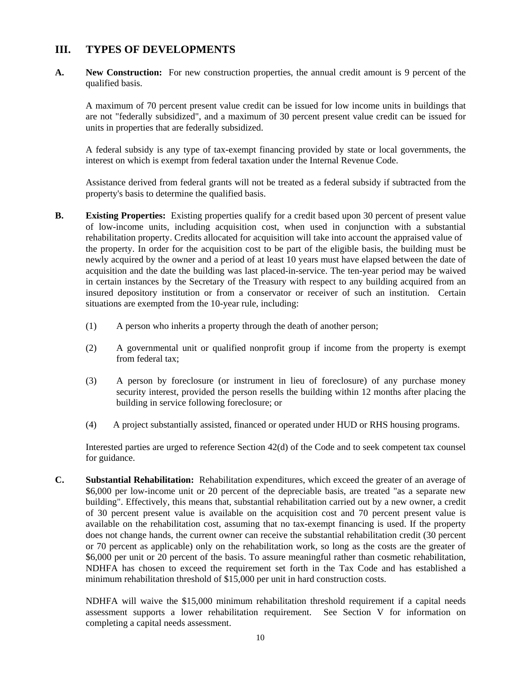### **III. TYPES OF DEVELOPMENTS**

**A. New Construction:** For new construction properties, the annual credit amount is 9 percent of the qualified basis.

 A maximum of 70 percent present value credit can be issued for low income units in buildings that are not "federally subsidized", and a maximum of 30 percent present value credit can be issued for units in properties that are federally subsidized.

 A federal subsidy is any type of tax-exempt financing provided by state or local governments, the interest on which is exempt from federal taxation under the Internal Revenue Code.

 Assistance derived from federal grants will not be treated as a federal subsidy if subtracted from the property's basis to determine the qualified basis.

- **B.** Existing Properties: Existing properties qualify for a credit based upon 30 percent of present value of low-income units, including acquisition cost, when used in conjunction with a substantial rehabilitation property. Credits allocated for acquisition will take into account the appraised value of the property. In order for the acquisition cost to be part of the eligible basis, the building must be newly acquired by the owner and a period of at least 10 years must have elapsed between the date of acquisition and the date the building was last placed-in-service. The ten-year period may be waived in certain instances by the Secretary of the Treasury with respect to any building acquired from an insured depository institution or from a conservator or receiver of such an institution. Certain situations are exempted from the 10-year rule, including:
	- (1) A person who inherits a property through the death of another person;
	- (2) A governmental unit or qualified nonprofit group if income from the property is exempt from federal tax;
	- (3) A person by foreclosure (or instrument in lieu of foreclosure) of any purchase money security interest, provided the person resells the building within 12 months after placing the building in service following foreclosure; or
	- (4) A project substantially assisted, financed or operated under HUD or RHS housing programs.

 Interested parties are urged to reference Section 42(d) of the Code and to seek competent tax counsel for guidance.

**C. Substantial Rehabilitation:** Rehabilitation expenditures, which exceed the greater of an average of \$6,000 per low-income unit or 20 percent of the depreciable basis, are treated "as a separate new building". Effectively, this means that, substantial rehabilitation carried out by a new owner, a credit of 30 percent present value is available on the acquisition cost and 70 percent present value is available on the rehabilitation cost, assuming that no tax-exempt financing is used. If the property does not change hands, the current owner can receive the substantial rehabilitation credit (30 percent or 70 percent as applicable) only on the rehabilitation work, so long as the costs are the greater of \$6,000 per unit or 20 percent of the basis. To assure meaningful rather than cosmetic rehabilitation, NDHFA has chosen to exceed the requirement set forth in the Tax Code and has established a minimum rehabilitation threshold of \$15,000 per unit in hard construction costs.

NDHFA will waive the \$15,000 minimum rehabilitation threshold requirement if a capital needs assessment supports a lower rehabilitation requirement. See Section V for information on completing a capital needs assessment.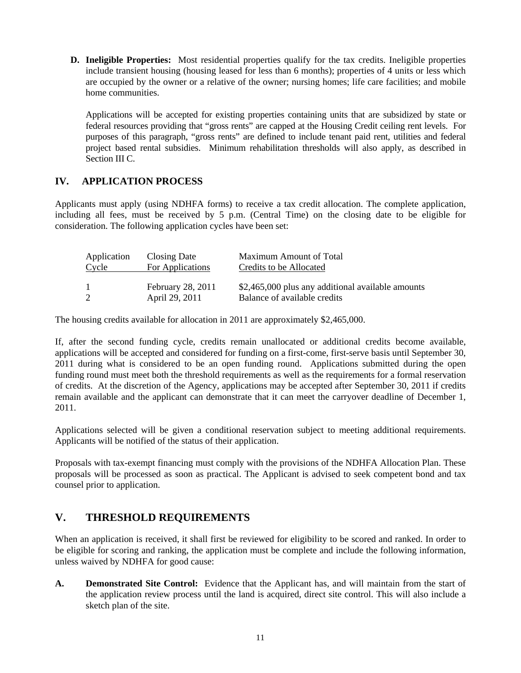**D. Ineligible Properties:** Most residential properties qualify for the tax credits. Ineligible properties include transient housing (housing leased for less than 6 months); properties of 4 units or less which are occupied by the owner or a relative of the owner; nursing homes; life care facilities; and mobile home communities.

 Applications will be accepted for existing properties containing units that are subsidized by state or federal resources providing that "gross rents" are capped at the Housing Credit ceiling rent levels. For purposes of this paragraph, "gross rents" are defined to include tenant paid rent, utilities and federal project based rental subsidies. Minimum rehabilitation thresholds will also apply, as described in Section III C.

### **IV. APPLICATION PROCESS**

Applicants must apply (using NDHFA forms) to receive a tax credit allocation. The complete application, including all fees, must be received by 5 p.m. (Central Time) on the closing date to be eligible for consideration. The following application cycles have been set:

| Application | Closing Date                        | Maximum Amount of Total |
|-------------|-------------------------------------|-------------------------|
| Cycle       | For Applications                    | Credits to be Allocated |
|             | February 28, 2011<br>April 29, 2011 |                         |

The housing credits available for allocation in 2011 are approximately \$2,465,000.

If, after the second funding cycle, credits remain unallocated or additional credits become available, applications will be accepted and considered for funding on a first-come, first-serve basis until September 30, 2011 during what is considered to be an open funding round. Applications submitted during the open funding round must meet both the threshold requirements as well as the requirements for a formal reservation of credits. At the discretion of the Agency, applications may be accepted after September 30, 2011 if credits remain available and the applicant can demonstrate that it can meet the carryover deadline of December 1, 2011.

Applications selected will be given a conditional reservation subject to meeting additional requirements. Applicants will be notified of the status of their application.

Proposals with tax-exempt financing must comply with the provisions of the NDHFA Allocation Plan. These proposals will be processed as soon as practical. The Applicant is advised to seek competent bond and tax counsel prior to application.

# **V. THRESHOLD REQUIREMENTS**

When an application is received, it shall first be reviewed for eligibility to be scored and ranked. In order to be eligible for scoring and ranking, the application must be complete and include the following information, unless waived by NDHFA for good cause:

**A. Demonstrated Site Control:** Evidence that the Applicant has, and will maintain from the start of the application review process until the land is acquired, direct site control. This will also include a sketch plan of the site.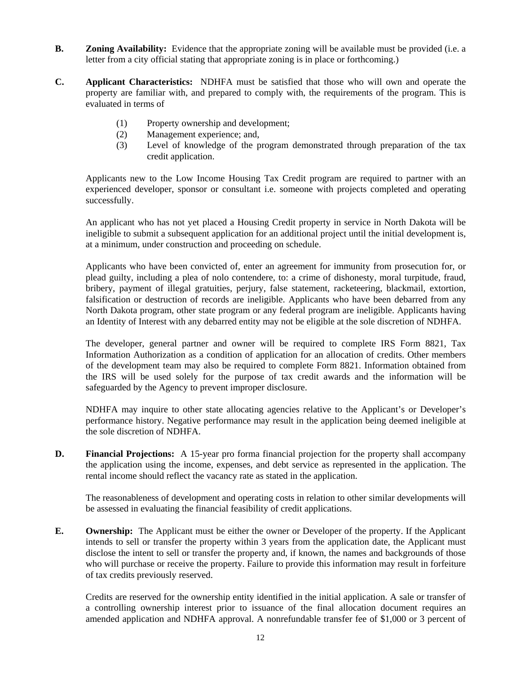- **B. Zoning Availability:** Evidence that the appropriate zoning will be available must be provided (i.e. a letter from a city official stating that appropriate zoning is in place or forthcoming.)
- **C. Applicant Characteristics:** NDHFA must be satisfied that those who will own and operate the property are familiar with, and prepared to comply with, the requirements of the program. This is evaluated in terms of
	- (1) Property ownership and development;
	- (2) Management experience; and,
	- (3) Level of knowledge of the program demonstrated through preparation of the tax credit application.

Applicants new to the Low Income Housing Tax Credit program are required to partner with an experienced developer, sponsor or consultant i.e. someone with projects completed and operating successfully.

 An applicant who has not yet placed a Housing Credit property in service in North Dakota will be ineligible to submit a subsequent application for an additional project until the initial development is, at a minimum, under construction and proceeding on schedule.

 Applicants who have been convicted of, enter an agreement for immunity from prosecution for, or plead guilty, including a plea of nolo contendere, to: a crime of dishonesty, moral turpitude, fraud, bribery, payment of illegal gratuities, perjury, false statement, racketeering, blackmail, extortion, falsification or destruction of records are ineligible. Applicants who have been debarred from any North Dakota program, other state program or any federal program are ineligible. Applicants having an Identity of Interest with any debarred entity may not be eligible at the sole discretion of NDHFA.

 The developer, general partner and owner will be required to complete IRS Form 8821, Tax Information Authorization as a condition of application for an allocation of credits. Other members of the development team may also be required to complete Form 8821. Information obtained from the IRS will be used solely for the purpose of tax credit awards and the information will be safeguarded by the Agency to prevent improper disclosure.

 NDHFA may inquire to other state allocating agencies relative to the Applicant's or Developer's performance history. Negative performance may result in the application being deemed ineligible at the sole discretion of NDHFA.

**D.** Financial Projections: A 15-year pro forma financial projection for the property shall accompany the application using the income, expenses, and debt service as represented in the application. The rental income should reflect the vacancy rate as stated in the application.

 The reasonableness of development and operating costs in relation to other similar developments will be assessed in evaluating the financial feasibility of credit applications.

**E. Ownership:** The Applicant must be either the owner or Developer of the property. If the Applicant intends to sell or transfer the property within 3 years from the application date, the Applicant must disclose the intent to sell or transfer the property and, if known, the names and backgrounds of those who will purchase or receive the property. Failure to provide this information may result in forfeiture of tax credits previously reserved.

 Credits are reserved for the ownership entity identified in the initial application. A sale or transfer of a controlling ownership interest prior to issuance of the final allocation document requires an amended application and NDHFA approval. A nonrefundable transfer fee of \$1,000 or 3 percent of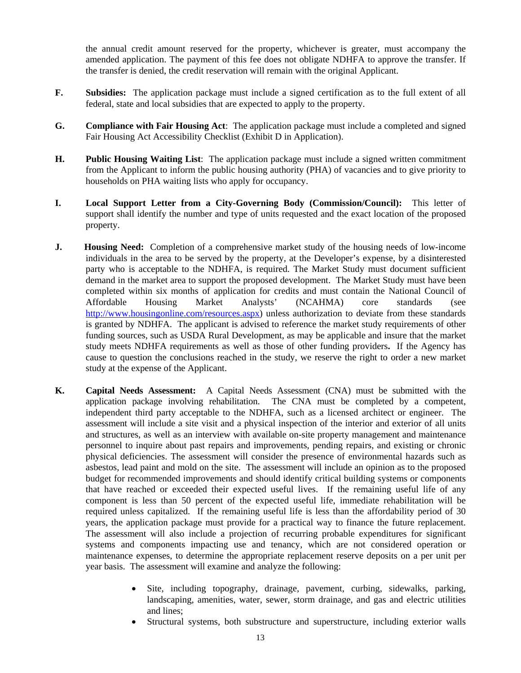the annual credit amount reserved for the property, whichever is greater, must accompany the amended application. The payment of this fee does not obligate NDHFA to approve the transfer. If the transfer is denied, the credit reservation will remain with the original Applicant.

- **F. Subsidies:** The application package must include a signed certification as to the full extent of all federal, state and local subsidies that are expected to apply to the property.
- **G. Compliance with Fair Housing Act**: The application package must include a completed and signed Fair Housing Act Accessibility Checklist (Exhibit D in Application).
- **H. Public Housing Waiting List**: The application package must include a signed written commitment from the Applicant to inform the public housing authority (PHA) of vacancies and to give priority to households on PHA waiting lists who apply for occupancy.
- **I. Local Support Letter from a City-Governing Body (Commission/Council):** This letter of support shall identify the number and type of units requested and the exact location of the proposed property.
- **J. Housing Need:** Completion of a comprehensive market study of the housing needs of low-income individuals in the area to be served by the property, at the Developer's expense, by a disinterested party who is acceptable to the NDHFA, is required. The Market Study must document sufficient demand in the market area to support the proposed development. The Market Study must have been completed within six months of application for credits and must contain the National Council of Affordable Housing Market Analysts' (NCAHMA) core standards (see <http://www.housingonline.com/resources.aspx>) unless authorization to deviate from these standards is granted by NDHFA. The applicant is advised to reference the market study requirements of other funding sources, such as USDA Rural Development, as may be applicable and insure that the market study meets NDHFA requirements as well as those of other funding providers**.** If the Agency has cause to question the conclusions reached in the study, we reserve the right to order a new market study at the expense of the Applicant.
- **K. Capital Needs Assessment:** A Capital Needs Assessment (CNA) must be submitted with the application package involving rehabilitation. The CNA must be completed by a competent, independent third party acceptable to the NDHFA, such as a licensed architect or engineer. The assessment will include a site visit and a physical inspection of the interior and exterior of all units and structures, as well as an interview with available on-site property management and maintenance personnel to inquire about past repairs and improvements, pending repairs, and existing or chronic physical deficiencies. The assessment will consider the presence of environmental hazards such as asbestos, lead paint and mold on the site. The assessment will include an opinion as to the proposed budget for recommended improvements and should identify critical building systems or components that have reached or exceeded their expected useful lives. If the remaining useful life of any component is less than 50 percent of the expected useful life, immediate rehabilitation will be required unless capitalized. If the remaining useful life is less than the affordability period of 30 years, the application package must provide for a practical way to finance the future replacement. The assessment will also include a projection of recurring probable expenditures for significant systems and components impacting use and tenancy, which are not considered operation or maintenance expenses, to determine the appropriate replacement reserve deposits on a per unit per year basis. The assessment will examine and analyze the following:
	- Site, including topography, drainage, pavement, curbing, sidewalks, parking, landscaping, amenities, water, sewer, storm drainage, and gas and electric utilities and lines;
	- Structural systems, both substructure and superstructure, including exterior walls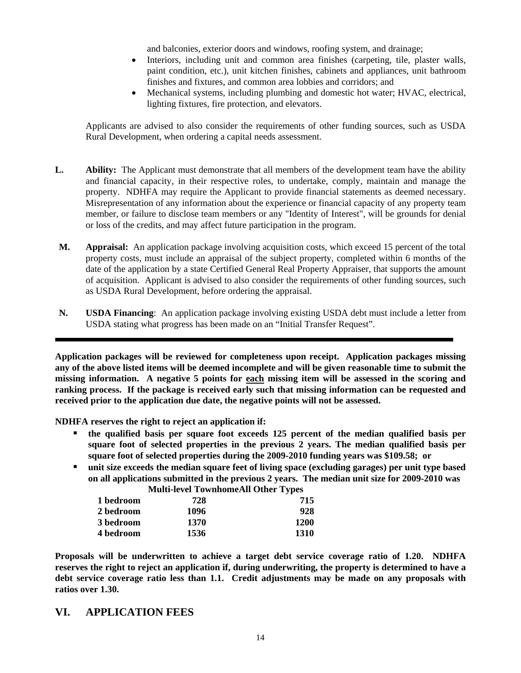and balconies, exterior doors and windows, roofing system, and drainage;

- Interiors, including unit and common area finishes (carpeting, tile, plaster walls, paint condition, etc.), unit kitchen finishes, cabinets and appliances, unit bathroom finishes and fixtures, and common area lobbies and corridors; and
- Mechanical systems, including plumbing and domestic hot water; HVAC, electrical, lighting fixtures, fire protection, and elevators.

Applicants are advised to also consider the requirements of other funding sources, such as USDA Rural Development, when ordering a capital needs assessment.

- **L. Ability:** The Applicant must demonstrate that all members of the development team have the ability and financial capacity, in their respective roles, to undertake, comply, maintain and manage the property. NDHFA may require the Applicant to provide financial statements as deemed necessary. Misrepresentation of any information about the experience or financial capacity of any property team member, or failure to disclose team members or any "Identity of Interest", will be grounds for denial or loss of the credits, and may affect future participation in the program.
- **M. Appraisal:** An application package involving acquisition costs, which exceed 15 percent of the total property costs, must include an appraisal of the subject property, completed within 6 months of the date of the application by a state Certified General Real Property Appraiser, that supports the amount of acquisition. Applicant is advised to also consider the requirements of other funding sources, such as USDA Rural Development, before ordering the appraisal.
- **N. USDA Financing**: An application package involving existing USDA debt must include a letter from USDA stating what progress has been made on an "Initial Transfer Request".

**Application packages will be reviewed for completeness upon receipt. Application packages missing any of the above listed items will be deemed incomplete and will be given reasonable time to submit the missing information. A negative 5 points for each missing item will be assessed in the scoring and ranking process. If the package is received early such that missing information can be requested and received prior to the application due date, the negative points will not be assessed.**

**NDHFA reserves the right to reject an application if:** 

l

- **the qualified basis per square foot exceeds 125 percent of the median qualified basis per square foot of selected properties in the previous 2 years. The median qualified basis per square foot of selected properties during the 2009-2010 funding years was \$109.58; or**
- **unit size exceeds the median square feet of living space (excluding garages) per unit type based on all applications submitted in the previous 2 years. The median unit size for 2009-2010 was Multi-level Townhome All Other Types**

|           | <b>MULTEVEL TOWINDINGAN OTHER TYPES</b> |      |
|-----------|-----------------------------------------|------|
| 1 bedroom | 728                                     | 715  |
| 2 bedroom | 1096                                    | 928  |
| 3 bedroom | 1370                                    | 1200 |
| 4 bedroom | 1536                                    | 1310 |

**Proposals will be underwritten to achieve a target debt service coverage ratio of 1.20. NDHFA reserves the right to reject an application if, during underwriting, the property is determined to have a debt service coverage ratio less than 1.1. Credit adjustments may be made on any proposals with ratios over 1.30.** 

### **VI. APPLICATION FEES**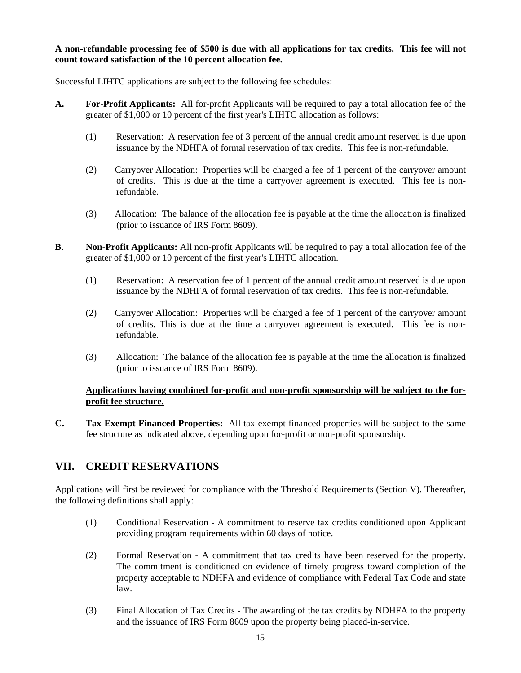#### **A non-refundable processing fee of \$500 is due with all applications for tax credits. This fee will not count toward satisfaction of the 10 percent allocation fee.**

Successful LIHTC applications are subject to the following fee schedules:

- **A. For-Profit Applicants:** All for-profit Applicants will be required to pay a total allocation fee of the greater of \$1,000 or 10 percent of the first year's LIHTC allocation as follows:
	- (1) Reservation: A reservation fee of 3 percent of the annual credit amount reserved is due upon issuance by the NDHFA of formal reservation of tax credits. This fee is non-refundable.
	- (2) Carryover Allocation: Properties will be charged a fee of 1 percent of the carryover amount of credits. This is due at the time a carryover agreement is executed. This fee is nonrefundable.
	- (3) Allocation: The balance of the allocation fee is payable at the time the allocation is finalized (prior to issuance of IRS Form 8609).
- **B. Non-Profit Applicants:** All non-profit Applicants will be required to pay a total allocation fee of the greater of \$1,000 or 10 percent of the first year's LIHTC allocation.
	- (1) Reservation: A reservation fee of 1 percent of the annual credit amount reserved is due upon issuance by the NDHFA of formal reservation of tax credits. This fee is non-refundable.
	- (2) Carryover Allocation: Properties will be charged a fee of 1 percent of the carryover amount of credits. This is due at the time a carryover agreement is executed. This fee is nonrefundable.
	- (3) Allocation: The balance of the allocation fee is payable at the time the allocation is finalized (prior to issuance of IRS Form 8609).

#### **Applications having combined for-profit and non-profit sponsorship will be subject to the forprofit fee structure.**

**C. Tax-Exempt Financed Properties:** All tax-exempt financed properties will be subject to the same fee structure as indicated above, depending upon for-profit or non-profit sponsorship.

# **VII. CREDIT RESERVATIONS**

Applications will first be reviewed for compliance with the Threshold Requirements (Section V). Thereafter, the following definitions shall apply:

- (1) Conditional Reservation A commitment to reserve tax credits conditioned upon Applicant providing program requirements within 60 days of notice.
- (2) Formal Reservation A commitment that tax credits have been reserved for the property. The commitment is conditioned on evidence of timely progress toward completion of the property acceptable to NDHFA and evidence of compliance with Federal Tax Code and state law.
- (3) Final Allocation of Tax Credits The awarding of the tax credits by NDHFA to the property and the issuance of IRS Form 8609 upon the property being placed-in-service.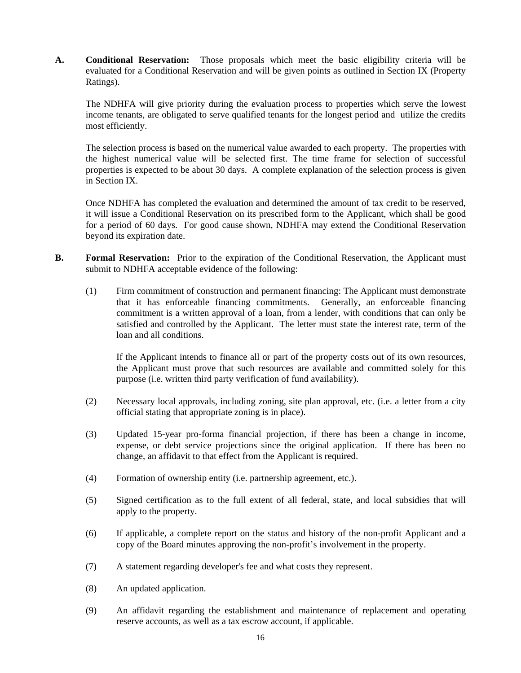**A. Conditional Reservation:** Those proposals which meet the basic eligibility criteria will be evaluated for a Conditional Reservation and will be given points as outlined in Section IX (Property Ratings).

 The NDHFA will give priority during the evaluation process to properties which serve the lowest income tenants, are obligated to serve qualified tenants for the longest period and utilize the credits most efficiently.

 The selection process is based on the numerical value awarded to each property. The properties with the highest numerical value will be selected first. The time frame for selection of successful properties is expected to be about 30 days. A complete explanation of the selection process is given in Section IX.

 Once NDHFA has completed the evaluation and determined the amount of tax credit to be reserved, it will issue a Conditional Reservation on its prescribed form to the Applicant, which shall be good for a period of 60 days. For good cause shown, NDHFA may extend the Conditional Reservation beyond its expiration date.

- **B.** Formal Reservation: Prior to the expiration of the Conditional Reservation, the Applicant must submit to NDHFA acceptable evidence of the following:
	- (1) Firm commitment of construction and permanent financing: The Applicant must demonstrate that it has enforceable financing commitments. Generally, an enforceable financing commitment is a written approval of a loan, from a lender, with conditions that can only be satisfied and controlled by the Applicant. The letter must state the interest rate, term of the loan and all conditions.

 If the Applicant intends to finance all or part of the property costs out of its own resources, the Applicant must prove that such resources are available and committed solely for this purpose (i.e. written third party verification of fund availability).

- (2) Necessary local approvals, including zoning, site plan approval, etc. (i.e. a letter from a city official stating that appropriate zoning is in place).
- (3) Updated 15-year pro-forma financial projection, if there has been a change in income, expense, or debt service projections since the original application. If there has been no change, an affidavit to that effect from the Applicant is required.
- (4) Formation of ownership entity (i.e. partnership agreement, etc.).
- (5) Signed certification as to the full extent of all federal, state, and local subsidies that will apply to the property.
- (6) If applicable, a complete report on the status and history of the non-profit Applicant and a copy of the Board minutes approving the non-profit's involvement in the property.
- (7) A statement regarding developer's fee and what costs they represent.
- (8) An updated application.
- (9) An affidavit regarding the establishment and maintenance of replacement and operating reserve accounts, as well as a tax escrow account, if applicable.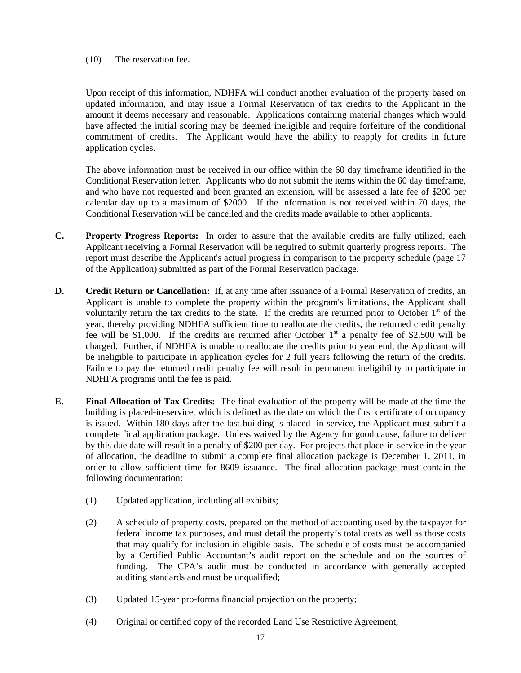(10) The reservation fee.

 Upon receipt of this information, NDHFA will conduct another evaluation of the property based on updated information, and may issue a Formal Reservation of tax credits to the Applicant in the amount it deems necessary and reasonable. Applications containing material changes which would have affected the initial scoring may be deemed ineligible and require forfeiture of the conditional commitment of credits. The Applicant would have the ability to reapply for credits in future application cycles.

 The above information must be received in our office within the 60 day timeframe identified in the Conditional Reservation letter. Applicants who do not submit the items within the 60 day timeframe, and who have not requested and been granted an extension, will be assessed a late fee of \$200 per calendar day up to a maximum of \$2000. If the information is not received within 70 days, the Conditional Reservation will be cancelled and the credits made available to other applicants.

- **C. Property Progress Reports:** In order to assure that the available credits are fully utilized, each Applicant receiving a Formal Reservation will be required to submit quarterly progress reports. The report must describe the Applicant's actual progress in comparison to the property schedule (page 17 of the Application) submitted as part of the Formal Reservation package.
- **D.** Credit Return or Cancellation: If, at any time after issuance of a Formal Reservation of credits, an Applicant is unable to complete the property within the program's limitations, the Applicant shall voluntarily return the tax credits to the state. If the credits are returned prior to October  $1<sup>st</sup>$  of the year, thereby providing NDHFA sufficient time to reallocate the credits, the returned credit penalty fee will be \$1,000. If the credits are returned after October  $1<sup>st</sup>$  a penalty fee of \$2,500 will be charged. Further, if NDHFA is unable to reallocate the credits prior to year end, the Applicant will be ineligible to participate in application cycles for 2 full years following the return of the credits. Failure to pay the returned credit penalty fee will result in permanent ineligibility to participate in NDHFA programs until the fee is paid.
- **E. Final Allocation of Tax Credits:** The final evaluation of the property will be made at the time the building is placed-in-service, which is defined as the date on which the first certificate of occupancy is issued. Within 180 days after the last building is placed- in-service, the Applicant must submit a complete final application package. Unless waived by the Agency for good cause, failure to deliver by this due date will result in a penalty of \$200 per day. For projects that place-in-service in the year of allocation, the deadline to submit a complete final allocation package is December 1, 2011, in order to allow sufficient time for 8609 issuance. The final allocation package must contain the following documentation:
	- (1) Updated application, including all exhibits;
	- (2) A schedule of property costs, prepared on the method of accounting used by the taxpayer for federal income tax purposes, and must detail the property's total costs as well as those costs that may qualify for inclusion in eligible basis. The schedule of costs must be accompanied by a Certified Public Accountant's audit report on the schedule and on the sources of funding. The CPA's audit must be conducted in accordance with generally accepted auditing standards and must be unqualified;
	- (3) Updated 15-year pro-forma financial projection on the property;
	- (4) Original or certified copy of the recorded Land Use Restrictive Agreement;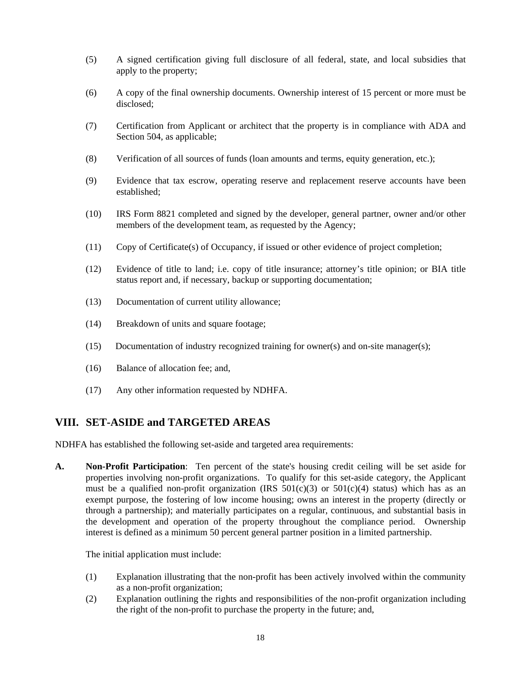- (5) A signed certification giving full disclosure of all federal, state, and local subsidies that apply to the property;
- (6) A copy of the final ownership documents. Ownership interest of 15 percent or more must be disclosed;
- (7) Certification from Applicant or architect that the property is in compliance with ADA and Section 504, as applicable;
- (8) Verification of all sources of funds (loan amounts and terms, equity generation, etc.);
- (9) Evidence that tax escrow, operating reserve and replacement reserve accounts have been established;
- (10) IRS Form 8821 completed and signed by the developer, general partner, owner and/or other members of the development team, as requested by the Agency;
- (11) Copy of Certificate(s) of Occupancy, if issued or other evidence of project completion;
- (12) Evidence of title to land; i.e. copy of title insurance; attorney's title opinion; or BIA title status report and, if necessary, backup or supporting documentation;
- (13) Documentation of current utility allowance;
- (14) Breakdown of units and square footage;
- (15) Documentation of industry recognized training for owner(s) and on-site manager(s);
- (16) Balance of allocation fee; and,
- (17) Any other information requested by NDHFA.

### **VIII. SET-ASIDE and TARGETED AREAS**

NDHFA has established the following set-aside and targeted area requirements:

**A. Non-Profit Participation**: Ten percent of the state's housing credit ceiling will be set aside for properties involving non-profit organizations. To qualify for this set-aside category, the Applicant must be a qualified non-profit organization (IRS  $501(c)(3)$  or  $501(c)(4)$  status) which has as an exempt purpose, the fostering of low income housing; owns an interest in the property (directly or through a partnership); and materially participates on a regular, continuous, and substantial basis in the development and operation of the property throughout the compliance period. Ownership interest is defined as a minimum 50 percent general partner position in a limited partnership.

The initial application must include:

- (1) Explanation illustrating that the non-profit has been actively involved within the community as a non-profit organization;
- (2) Explanation outlining the rights and responsibilities of the non-profit organization including the right of the non-profit to purchase the property in the future; and,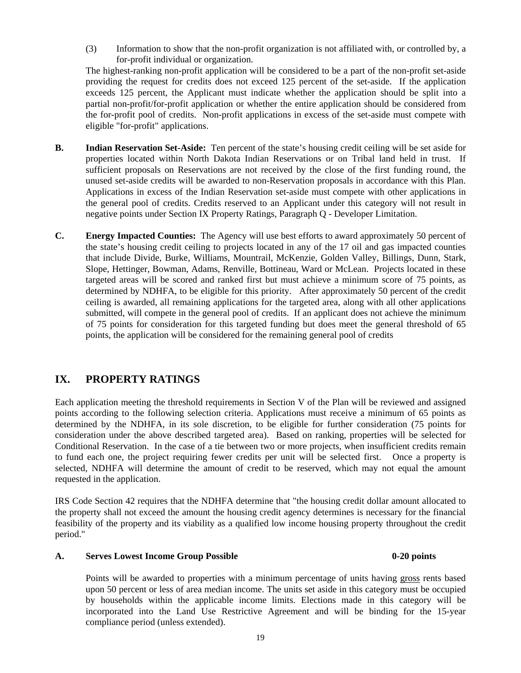(3) Information to show that the non-profit organization is not affiliated with, or controlled by, a for-profit individual or organization.

The highest-ranking non-profit application will be considered to be a part of the non-profit set-aside providing the request for credits does not exceed 125 percent of the set-aside. If the application exceeds 125 percent, the Applicant must indicate whether the application should be split into a partial non-profit/for-profit application or whether the entire application should be considered from the for-profit pool of credits. Non-profit applications in excess of the set-aside must compete with eligible "for-profit" applications.

- **B. Indian Reservation Set-Aside:** Ten percent of the state's housing credit ceiling will be set aside for properties located within North Dakota Indian Reservations or on Tribal land held in trust. If sufficient proposals on Reservations are not received by the close of the first funding round, the unused set-aside credits will be awarded to non-Reservation proposals in accordance with this Plan. Applications in excess of the Indian Reservation set-aside must compete with other applications in the general pool of credits. Credits reserved to an Applicant under this category will not result in negative points under Section IX Property Ratings, Paragraph Q - Developer Limitation.
- **C. Energy Impacted Counties:** The Agency will use best efforts to award approximately 50 percent of the state's housing credit ceiling to projects located in any of the 17 oil and gas impacted counties that include Divide, Burke, Williams, Mountrail, McKenzie, Golden Valley, Billings, Dunn, Stark, Slope, Hettinger, Bowman, Adams, Renville, Bottineau, Ward or McLean. Projects located in these targeted areas will be scored and ranked first but must achieve a minimum score of 75 points, as determined by NDHFA, to be eligible for this priority. After approximately 50 percent of the credit ceiling is awarded, all remaining applications for the targeted area, along with all other applications submitted, will compete in the general pool of credits. If an applicant does not achieve the minimum of 75 points for consideration for this targeted funding but does meet the general threshold of 65 points, the application will be considered for the remaining general pool of credits

## **IX. PROPERTY RATINGS**

Each application meeting the threshold requirements in Section V of the Plan will be reviewed and assigned points according to the following selection criteria. Applications must receive a minimum of 65 points as determined by the NDHFA, in its sole discretion, to be eligible for further consideration (75 points for consideration under the above described targeted area). Based on ranking, properties will be selected for Conditional Reservation. In the case of a tie between two or more projects, when insufficient credits remain to fund each one, the project requiring fewer credits per unit will be selected first. Once a property is selected, NDHFA will determine the amount of credit to be reserved, which may not equal the amount requested in the application.

IRS Code Section 42 requires that the NDHFA determine that "the housing credit dollar amount allocated to the property shall not exceed the amount the housing credit agency determines is necessary for the financial feasibility of the property and its viability as a qualified low income housing property throughout the credit period."

#### A. Serves Lowest Income Group Possible 0-20 points **0-20** points

 Points will be awarded to properties with a minimum percentage of units having gross rents based upon 50 percent or less of area median income. The units set aside in this category must be occupied by households within the applicable income limits. Elections made in this category will be incorporated into the Land Use Restrictive Agreement and will be binding for the 15-year compliance period (unless extended).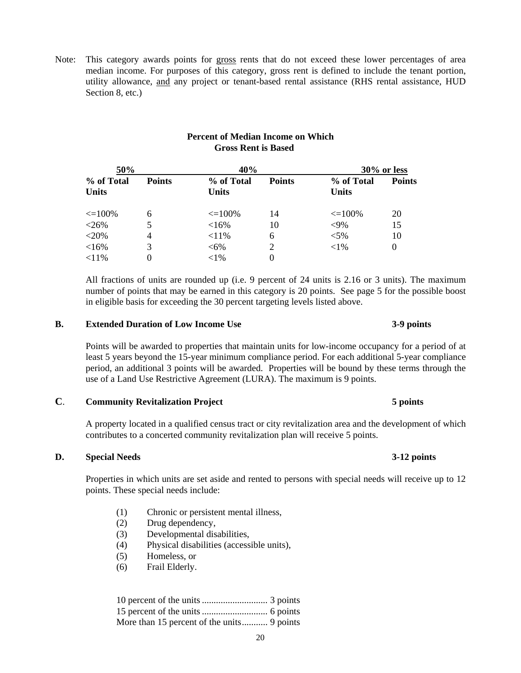Note: This category awards points for gross rents that do not exceed these lower percentages of area median income. For purposes of this category, gross rent is defined to include the tenant portion, utility allowance, and any project or tenant-based rental assistance (RHS rental assistance, HUD Section 8, etc.)

| <b>Percent of Median Income on Which</b> |
|------------------------------------------|
| <b>Gross Rent is Based</b>               |

| 50%          |                             |                            | 40%           |                            | 30% or less   |  |
|--------------|-----------------------------|----------------------------|---------------|----------------------------|---------------|--|
| <b>Units</b> | <b>Points</b><br>% of Total | % of Total<br><b>Units</b> | <b>Points</b> | % of Total<br><b>Units</b> | <b>Points</b> |  |
| $\leq$ 100%  | 6                           | $\leq$ 100%                | 14            | $\leq$ 100%                | 20            |  |
| $<$ 26%      |                             | <16%                       | 10            | $<9\%$                     | 15            |  |
| $<$ 20%      | 4                           | $< 11\%$                   | 6             | $< 5\%$                    | 10            |  |
| <16%         |                             | $<6\%$                     |               | ${<}1\%$                   | $\theta$      |  |
| $< 11\%$     |                             | ${<}1\%$                   | 0             |                            |               |  |

 All fractions of units are rounded up (i.e. 9 percent of 24 units is 2.16 or 3 units). The maximum number of points that may be earned in this category is 20 points. See page 5 for the possible boost in eligible basis for exceeding the 30 percent targeting levels listed above.

#### **B. Extended Duration of Low Income Use 3-9 points**

 Points will be awarded to properties that maintain units for low-income occupancy for a period of at least 5 years beyond the 15-year minimum compliance period. For each additional 5-year compliance period, an additional 3 points will be awarded. Properties will be bound by these terms through the use of a Land Use Restrictive Agreement (LURA). The maximum is 9 points.

#### **C**. **Community Revitalization Project 5 points**

A property located in a qualified census tract or city revitalization area and the development of which contributes to a concerted community revitalization plan will receive 5 points.

#### **D. Special Needs 3-12 points**

 Properties in which units are set aside and rented to persons with special needs will receive up to 12 points. These special needs include:

- (1) Chronic or persistent mental illness,
- (2) Drug dependency,
- (3) Developmental disabilities,
- (4) Physical disabilities (accessible units),
- (5) Homeless, or
- (6) Frail Elderly.

#### 10 percent of the units ............................ 3 points 15 percent of the units ............................ 6 points More than 15 percent of the units........... 9 points

#### 20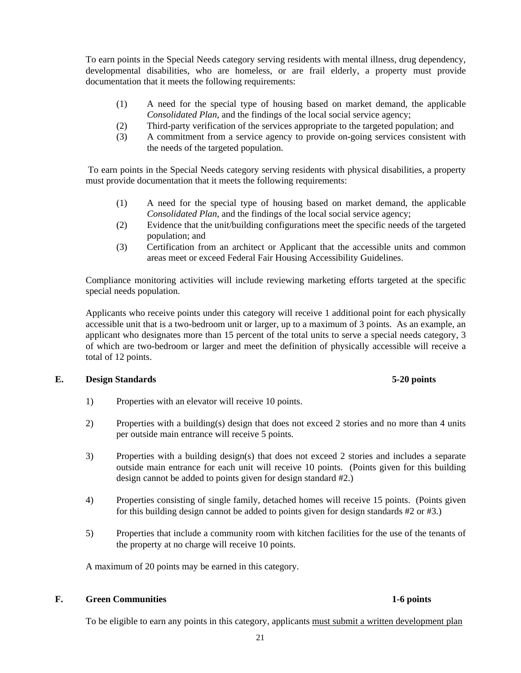To earn points in the Special Needs category serving residents with mental illness, drug dependency, developmental disabilities, who are homeless, or are frail elderly, a property must provide documentation that it meets the following requirements:

- (1) A need for the special type of housing based on market demand, the applicable *Consolidated Plan*, and the findings of the local social service agency;
- (2) Third-party verification of the services appropriate to the targeted population; and
- (3) A commitment from a service agency to provide on-going services consistent with the needs of the targeted population.

 To earn points in the Special Needs category serving residents with physical disabilities, a property must provide documentation that it meets the following requirements:

- (1) A need for the special type of housing based on market demand, the applicable *Consolidated Plan*, and the findings of the local social service agency;
- (2) Evidence that the unit/building configurations meet the specific needs of the targeted population; and
- (3) Certification from an architect or Applicant that the accessible units and common areas meet or exceed Federal Fair Housing Accessibility Guidelines.

 Compliance monitoring activities will include reviewing marketing efforts targeted at the specific special needs population.

 Applicants who receive points under this category will receive 1 additional point for each physically accessible unit that is a two-bedroom unit or larger, up to a maximum of 3 points. As an example, an applicant who designates more than 15 percent of the total units to serve a special needs category, 3 of which are two-bedroom or larger and meet the definition of physically accessible will receive a total of 12 points.

### **E. Design Standards 5-20 points**

- 1) Properties with an elevator will receive 10 points.
- 2) Properties with a building(s) design that does not exceed 2 stories and no more than 4 units per outside main entrance will receive 5 points.
- 3) Properties with a building design(s) that does not exceed 2 stories and includes a separate outside main entrance for each unit will receive 10 points. (Points given for this building design cannot be added to points given for design standard #2.)
- 4) Properties consisting of single family, detached homes will receive 15 points. (Points given for this building design cannot be added to points given for design standards #2 or #3.)
- 5) Properties that include a community room with kitchen facilities for the use of the tenants of the property at no charge will receive 10 points.

A maximum of 20 points may be earned in this category.

#### **F. Green Communities 1-6 points**

To be eligible to earn any points in this category, applicants must submit a written development plan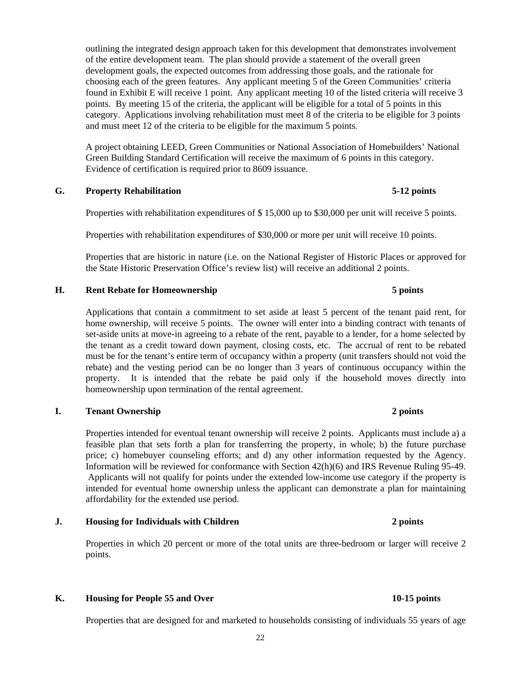outlining the integrated design approach taken for this development that demonstrates involvement of the entire development team. The plan should provide a statement of the overall green development goals, the expected outcomes from addressing those goals, and the rationale for choosing each of the green features. Any applicant meeting 5 of the Green Communities' criteria found in Exhibit E will receive 1 point. Any applicant meeting 10 of the listed criteria will receive 3 points. By meeting 15 of the criteria, the applicant will be eligible for a total of 5 points in this category. Applications involving rehabilitation must meet 8 of the criteria to be eligible for 3 points and must meet 12 of the criteria to be eligible for the maximum 5 points.

A project obtaining LEED, Green Communities or National Association of Homebuilders' National Green Building Standard Certification will receive the maximum of 6 points in this category. Evidence of certification is required prior to 8609 issuance.

### **G. Property Rehabilitation 5-12 points**

Properties with rehabilitation expenditures of \$ 15,000 up to \$30,000 per unit will receive 5 points.

Properties with rehabilitation expenditures of \$30,000 or more per unit will receive 10 points.

 Properties that are historic in nature (i.e. on the National Register of Historic Places or approved for the State Historic Preservation Office's review list) will receive an additional 2 points.

### **H. Rent Rebate for Homeownership 5 points**

 Applications that contain a commitment to set aside at least 5 percent of the tenant paid rent, for home ownership, will receive 5 points. The owner will enter into a binding contract with tenants of set-aside units at move-in agreeing to a rebate of the rent, payable to a lender, for a home selected by the tenant as a credit toward down payment, closing costs, etc. The accrual of rent to be rebated must be for the tenant's entire term of occupancy within a property (unit transfers should not void the rebate) and the vesting period can be no longer than 3 years of continuous occupancy within the property. It is intended that the rebate be paid only if the household moves directly into homeownership upon termination of the rental agreement.

### **I. Tenant Ownership 2 points**

 Properties intended for eventual tenant ownership will receive 2 points. Applicants must include a) a feasible plan that sets forth a plan for transferring the property, in whole; b) the future purchase price; c) homebuyer counseling efforts; and d) any other information requested by the Agency. Information will be reviewed for conformance with Section 42(h)(6) and IRS Revenue Ruling 95-49. Applicants will not qualify for points under the extended low-income use category if the property is intended for eventual home ownership unless the applicant can demonstrate a plan for maintaining affordability for the extended use period.

### **J. Housing for Individuals with Children 2 points 2 points**

Properties in which 20 percent or more of the total units are three-bedroom or larger will receive 2 points.

### K. Housing for People 55 and Over **10-15 points**

Properties that are designed for and marketed to households consisting of individuals 55 years of age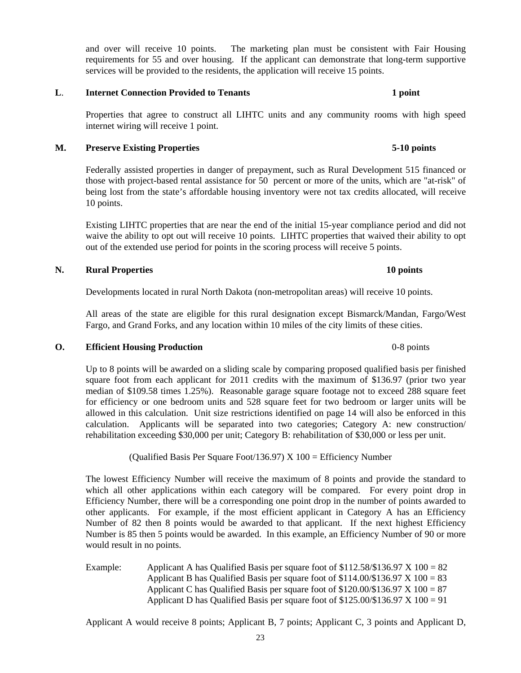and over will receive 10 points. The marketing plan must be consistent with Fair Housing requirements for 55 and over housing. If the applicant can demonstrate that long-term supportive services will be provided to the residents, the application will receive 15 points.

#### **L. Internet Connection Provided to Tenants 1 point 1 point**

 Properties that agree to construct all LIHTC units and any community rooms with high speed internet wiring will receive 1 point.

### **M. Preserve Existing Properties 5-10 points**

 Federally assisted properties in danger of prepayment, such as Rural Development 515 financed or those with project-based rental assistance for 50 percent or more of the units, which are "at-risk" of being lost from the state's affordable housing inventory were not tax credits allocated, will receive 10 points.

 Existing LIHTC properties that are near the end of the initial 15-year compliance period and did not waive the ability to opt out will receive 10 points. LIHTC properties that waived their ability to opt out of the extended use period for points in the scoring process will receive 5 points.

### **N. Rural Properties 10 points**

Developments located in rural North Dakota (non-metropolitan areas) will receive 10 points.

 All areas of the state are eligible for this rural designation except Bismarck/Mandan, Fargo/West Fargo, and Grand Forks, and any location within 10 miles of the city limits of these cities.

### **O.** Efficient Housing Production **1996 CONSIDENT** 1989 **CONSIDENT** 1996 **CONSIDENT** 1996 **CONSIDENT** 1996

 Up to 8 points will be awarded on a sliding scale by comparing proposed qualified basis per finished square foot from each applicant for 2011 credits with the maximum of \$136.97 (prior two year median of \$109.58 times 1.25%). Reasonable garage square footage not to exceed 288 square feet for efficiency or one bedroom units and 528 square feet for two bedroom or larger units will be allowed in this calculation. Unit size restrictions identified on page 14 will also be enforced in this calculation. Applicants will be separated into two categories; Category A: new construction/ rehabilitation exceeding \$30,000 per unit; Category B: rehabilitation of \$30,000 or less per unit.

(Qualified Basis Per Square Foot/136.97)  $X$  100 = Efficiency Number

 The lowest Efficiency Number will receive the maximum of 8 points and provide the standard to which all other applications within each category will be compared. For every point drop in Efficiency Number, there will be a corresponding one point drop in the number of points awarded to other applicants. For example, if the most efficient applicant in Category A has an Efficiency Number of 82 then 8 points would be awarded to that applicant. If the next highest Efficiency Number is 85 then 5 points would be awarded. In this example, an Efficiency Number of 90 or more would result in no points.

Example: Applicant A has Qualified Basis per square foot of  $$112.58/\$136.97 \times 100 = 82$ Applicant B has Qualified Basis per square foot of  $$114.00/\$136.97 \times 100 = 83$ Applicant C has Qualified Basis per square foot of  $$120.00/\$136.97 \times 100 = 87$ Applicant D has Qualified Basis per square foot of  $$125.00/\$136.97 \times 100 = 91$ 

Applicant A would receive 8 points; Applicant B, 7 points; Applicant C, 3 points and Applicant D,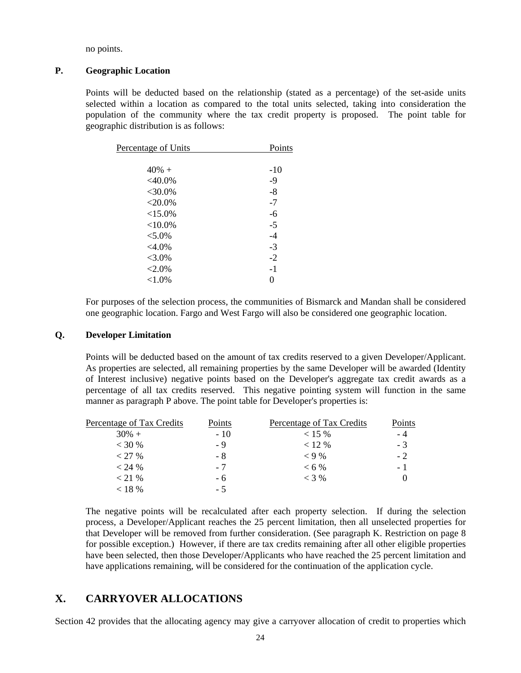no points.

#### **P. Geographic Location**

 Points will be deducted based on the relationship (stated as a percentage) of the set-aside units selected within a location as compared to the total units selected, taking into consideration the population of the community where the tax credit property is proposed. The point table for geographic distribution is as follows:

| Percentage of Units | Points |
|---------------------|--------|
|                     |        |
| $40% +$             | $-10$  |
| $<$ 40.0%           | $-9$   |
| $<$ 30.0%           | $-8$   |
| $<$ 20.0%           | $-7$   |
| <15.0%              | -6     |
| ${<}10.0\%$         | $-5$   |
| $< 5.0\%$           | $-4$   |
| $<4.0\%$            | $-3$   |
| $< 3.0\%$           | $-2$   |
| $< 2.0\%$           | $-1$   |
| ${<}1.0\%$          | 0      |
|                     |        |

 For purposes of the selection process, the communities of Bismarck and Mandan shall be considered one geographic location. Fargo and West Fargo will also be considered one geographic location.

#### **Q. Developer Limitation**

 Points will be deducted based on the amount of tax credits reserved to a given Developer/Applicant. As properties are selected, all remaining properties by the same Developer will be awarded (Identity of Interest inclusive) negative points based on the Developer's aggregate tax credit awards as a percentage of all tax credits reserved. This negative pointing system will function in the same manner as paragraph P above. The point table for Developer's properties is:

| Percentage of Tax Credits | Points | Percentage of Tax Credits | Points |
|---------------------------|--------|---------------------------|--------|
| $30\% +$                  | $-10$  | $< 15 \%$                 | - 4    |
| $<$ 30 %                  | - 9    | < 12 %                    | $-3$   |
| < 27 %                    | - 8    | $< 9\%$                   | $-2$   |
| $< 24 \%$                 | $-7$   | $< 6\%$                   | $-1$   |
| $<$ 21 %                  | - 6    | $<$ 3 %                   |        |
| $< 18 \%$                 | - 5    |                           |        |

 The negative points will be recalculated after each property selection. If during the selection process, a Developer/Applicant reaches the 25 percent limitation, then all unselected properties for that Developer will be removed from further consideration. (See paragraph K. Restriction on page 8 for possible exception.) However, if there are tax credits remaining after all other eligible properties have been selected, then those Developer/Applicants who have reached the 25 percent limitation and have applications remaining, will be considered for the continuation of the application cycle.

### **X. CARRYOVER ALLOCATIONS**

Section 42 provides that the allocating agency may give a carryover allocation of credit to properties which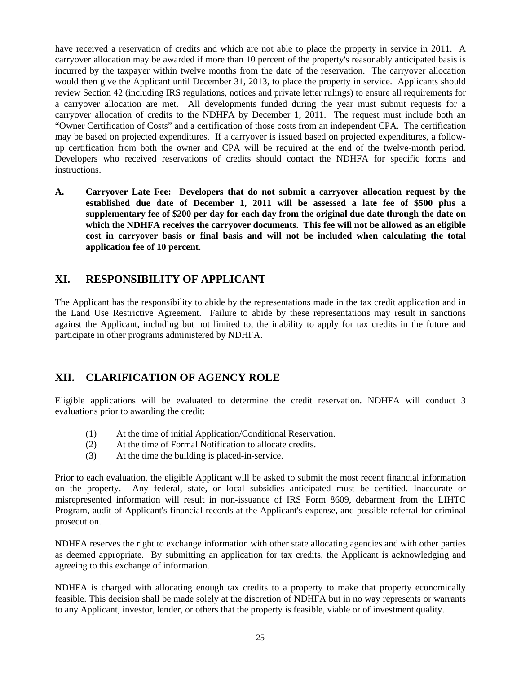have received a reservation of credits and which are not able to place the property in service in 2011. A carryover allocation may be awarded if more than 10 percent of the property's reasonably anticipated basis is incurred by the taxpayer within twelve months from the date of the reservation. The carryover allocation would then give the Applicant until December 31, 2013, to place the property in service. Applicants should review Section 42 (including IRS regulations, notices and private letter rulings) to ensure all requirements for a carryover allocation are met. All developments funded during the year must submit requests for a carryover allocation of credits to the NDHFA by December 1, 2011. The request must include both an "Owner Certification of Costs" and a certification of those costs from an independent CPA. The certification may be based on projected expenditures. If a carryover is issued based on projected expenditures, a followup certification from both the owner and CPA will be required at the end of the twelve-month period. Developers who received reservations of credits should contact the NDHFA for specific forms and instructions.

**A. Carryover Late Fee: Developers that do not submit a carryover allocation request by the established due date of December 1, 2011 will be assessed a late fee of \$500 plus a supplementary fee of \$200 per day for each day from the original due date through the date on which the NDHFA receives the carryover documents. This fee will not be allowed as an eligible cost in carryover basis or final basis and will not be included when calculating the total application fee of 10 percent.** 

# **XI. RESPONSIBILITY OF APPLICANT**

The Applicant has the responsibility to abide by the representations made in the tax credit application and in the Land Use Restrictive Agreement. Failure to abide by these representations may result in sanctions against the Applicant, including but not limited to, the inability to apply for tax credits in the future and participate in other programs administered by NDHFA.

# **XII. CLARIFICATION OF AGENCY ROLE**

Eligible applications will be evaluated to determine the credit reservation. NDHFA will conduct 3 evaluations prior to awarding the credit:

- (1) At the time of initial Application/Conditional Reservation.
- (2) At the time of Formal Notification to allocate credits.
- (3) At the time the building is placed-in-service.

Prior to each evaluation, the eligible Applicant will be asked to submit the most recent financial information on the property. Any federal, state, or local subsidies anticipated must be certified. Inaccurate or misrepresented information will result in non-issuance of IRS Form 8609, debarment from the LIHTC Program, audit of Applicant's financial records at the Applicant's expense, and possible referral for criminal prosecution.

NDHFA reserves the right to exchange information with other state allocating agencies and with other parties as deemed appropriate. By submitting an application for tax credits, the Applicant is acknowledging and agreeing to this exchange of information.

NDHFA is charged with allocating enough tax credits to a property to make that property economically feasible. This decision shall be made solely at the discretion of NDHFA but in no way represents or warrants to any Applicant, investor, lender, or others that the property is feasible, viable or of investment quality.